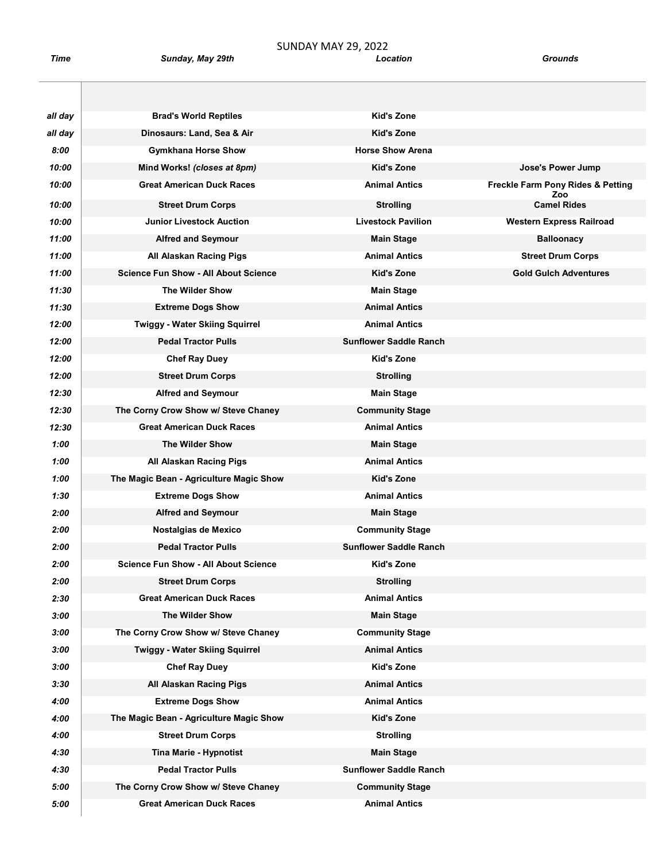SUNDAY MAY 29, 2022<br>Time Sunday, May 29th Eocation Sunday, May 29th **Sunday, May 29th** Crown Contains a Location Crown Crown Crown Crown Crown Crown Crown Crown Cro

| all day | <b>Brad's World Reptiles</b>                | Kid's Zone                    |                                          |
|---------|---------------------------------------------|-------------------------------|------------------------------------------|
| all day | Dinosaurs: Land, Sea & Air                  | <b>Kid's Zone</b>             |                                          |
| 8:00    | <b>Gymkhana Horse Show</b>                  | <b>Horse Show Arena</b>       |                                          |
| 10:00   | Mind Works! (closes at 8pm)                 | <b>Kid's Zone</b>             | Jose's Power Jump                        |
| 10:00   | <b>Great American Duck Races</b>            | <b>Animal Antics</b>          | Freckle Farm Pony Rides & Petting<br>Zoo |
| 10:00   | <b>Street Drum Corps</b>                    | <b>Strolling</b>              | <b>Camel Rides</b>                       |
| 10:00   | <b>Junior Livestock Auction</b>             | <b>Livestock Pavilion</b>     | <b>Western Express Railroad</b>          |
| 11:00   | <b>Alfred and Seymour</b>                   | <b>Main Stage</b>             | <b>Balloonacy</b>                        |
| 11:00   | All Alaskan Racing Pigs                     | <b>Animal Antics</b>          | <b>Street Drum Corps</b>                 |
| 11:00   | <b>Science Fun Show - All About Science</b> | <b>Kid's Zone</b>             | <b>Gold Gulch Adventures</b>             |
| 11:30   | <b>The Wilder Show</b>                      | <b>Main Stage</b>             |                                          |
| 11:30   | <b>Extreme Dogs Show</b>                    | <b>Animal Antics</b>          |                                          |
| 12:00   | <b>Twiggy - Water Skiing Squirrel</b>       | <b>Animal Antics</b>          |                                          |
| 12:00   | <b>Pedal Tractor Pulls</b>                  | <b>Sunflower Saddle Ranch</b> |                                          |
| 12:00   | <b>Chef Ray Duey</b>                        | Kid's Zone                    |                                          |
| 12:00   | <b>Street Drum Corps</b>                    | <b>Strolling</b>              |                                          |
| 12:30   | <b>Alfred and Seymour</b>                   | <b>Main Stage</b>             |                                          |
| 12:30   | The Corny Crow Show w/ Steve Chaney         | <b>Community Stage</b>        |                                          |
| 12:30   | <b>Great American Duck Races</b>            | <b>Animal Antics</b>          |                                          |
| 1:00    | <b>The Wilder Show</b>                      | <b>Main Stage</b>             |                                          |
| 1:00    | All Alaskan Racing Pigs                     | <b>Animal Antics</b>          |                                          |
| 1:00    | The Magic Bean - Agriculture Magic Show     | Kid's Zone                    |                                          |
| 1:30    | <b>Extreme Dogs Show</b>                    | <b>Animal Antics</b>          |                                          |
| 2:00    | <b>Alfred and Seymour</b>                   | <b>Main Stage</b>             |                                          |
| 2:00    | Nostalgias de Mexico                        | <b>Community Stage</b>        |                                          |
| 2:00    | <b>Pedal Tractor Pulls</b>                  | <b>Sunflower Saddle Ranch</b> |                                          |
| 2:00    | <b>Science Fun Show - All About Science</b> | Kid's Zone                    |                                          |
| 2:00    | <b>Street Drum Corps</b>                    | <b>Strolling</b>              |                                          |
| 2:30    | <b>Great American Duck Races</b>            | <b>Animal Antics</b>          |                                          |
| 3:00    | <b>The Wilder Show</b>                      | <b>Main Stage</b>             |                                          |
| 3:00    | The Corny Crow Show w/ Steve Chaney         | <b>Community Stage</b>        |                                          |
| 3:00    | <b>Twiggy - Water Skiing Squirrel</b>       | <b>Animal Antics</b>          |                                          |
| 3:00    | <b>Chef Ray Duey</b>                        | Kid's Zone                    |                                          |
| 3:30    | All Alaskan Racing Pigs                     | <b>Animal Antics</b>          |                                          |
| 4:00    | <b>Extreme Dogs Show</b>                    | <b>Animal Antics</b>          |                                          |
| 4:00    | The Magic Bean - Agriculture Magic Show     | Kid's Zone                    |                                          |
| 4:00    | <b>Street Drum Corps</b>                    | <b>Strolling</b>              |                                          |
| 4:30    | Tina Marie - Hypnotist                      | <b>Main Stage</b>             |                                          |
| 4:30    | <b>Pedal Tractor Pulls</b>                  | <b>Sunflower Saddle Ranch</b> |                                          |
| 5:00    | The Corny Crow Show w/ Steve Chaney         | <b>Community Stage</b>        |                                          |
| 5:00    | <b>Great American Duck Races</b>            | <b>Animal Antics</b>          |                                          |